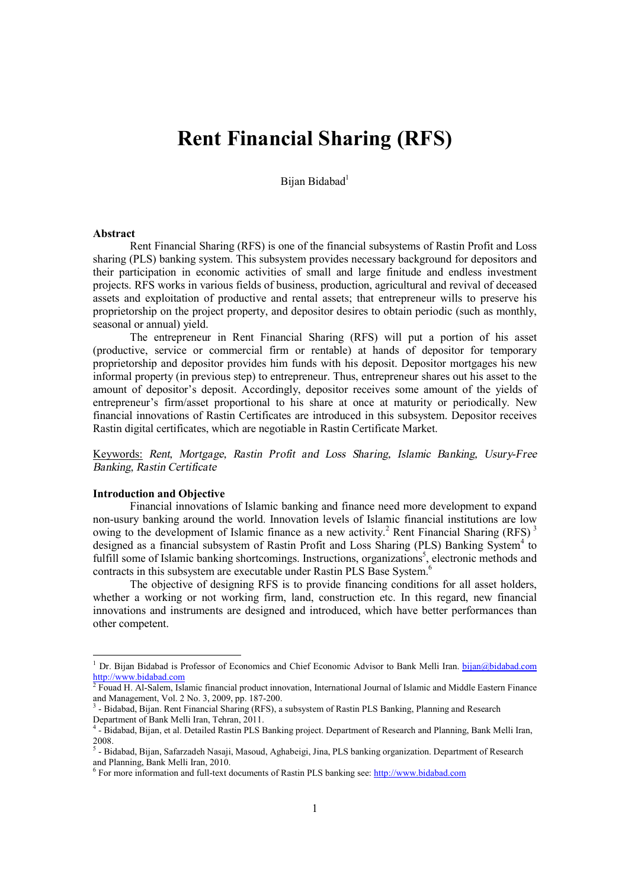# **Rent Financial Sharing (RFS)**

Bijan Bidabad<sup>1</sup>

#### **Abstract**

Rent Financial Sharing (RFS) is one of the financial subsystems of Rastin Profit and Loss sharing (PLS) banking system. This subsystem provides necessary background for depositors and their participation in economic activities of small and large finitude and endless investment projects. RFS works in various fields of business, production, agricultural and revival of deceased assets and exploitation of productive and rental assets; that entrepreneur wills to preserve his proprietorship on the project property, and depositor desires to obtain periodic (such as monthly, seasonal or annual) yield.

The entrepreneur in Rent Financial Sharing (RFS) will put a portion of his asset (productive, service or commercial firm or rentable) at hands of depositor for temporary proprietorship and depositor provides him funds with his deposit. Depositor mortgages his new informal property (in previous step) to entrepreneur. Thus, entrepreneur shares out his asset to the amount of depositor's deposit. Accordingly, depositor receives some amount of the yields of entrepreneur's firm/asset proportional to his share at once at maturity or periodically. New financial innovations of Rastin Certificates are introduced in this subsystem. Depositor receives Rastin digital certificates, which are negotiable in Rastin Certificate Market.

Keywords: *Rent, Mortgage, Rastin Profit and Loss Sharing, Islamic Banking, Usury-Free Banking, Rastin Certificate*

### **Introduction and Objective**

 $\overline{a}$ 

Financial innovations of Islamic banking and finance need more development to expand non-usury banking around the world. Innovation levels of Islamic financial institutions are low owing to the development of Islamic finance as a new activity.<sup>2</sup> Rent Financial Sharing (RFS)<sup>3</sup> designed as a financial subsystem of Rastin Profit and Loss Sharing (PLS) Banking System<sup>4</sup> to fulfill some of Islamic banking shortcomings. Instructions, organizations<sup>5</sup>, electronic methods and contracts in this subsystem are executable under Rastin PLS Base System.<sup>6</sup>

The objective of designing RFS is to provide financing conditions for all asset holders, whether a working or not working firm, land, construction etc. In this regard, new financial innovations and instruments are designed and introduced, which have better performances than other competent.

<sup>&</sup>lt;sup>1</sup> Dr. Bijan Bidabad is Professor of Economics and Chief Economic Advisor to Bank Melli Iran. [bijan@bidabad.com](mailto:bijan@bidabad.com) <http://www.bidabad.com><br><sup>2</sup> Fouad H. Al-Salem, Islamic financial product innovation, International Journal of Islamic and Middle Eastern Finance

and Management, Vol. 2 No. 3, 2009, pp. 187-200.

<sup>&</sup>lt;sup>3</sup> - Bidabad, Bijan. Rent Financial Sharing (RFS), a subsystem of Rastin PLS Banking, Planning and Research Department of Bank Melli Iran, Tehran, 2011.

<sup>4</sup> - Bidabad, Bijan, et al. Detailed Rastin PLS Banking project. Department of Research and Planning, Bank Melli Iran, 2008.<br><sup>5</sup> - Bidabad, Bijan, Safarzadeh Nasaji, Masoud, Aghabeigi, Jina, PLS banking organization. Department of Research

and Planning, Bank Melli Iran, 2010.

<sup>&</sup>lt;sup>6</sup> For more information and full-text documents of Rastin PLS banking see:<http://www.bidabad.com>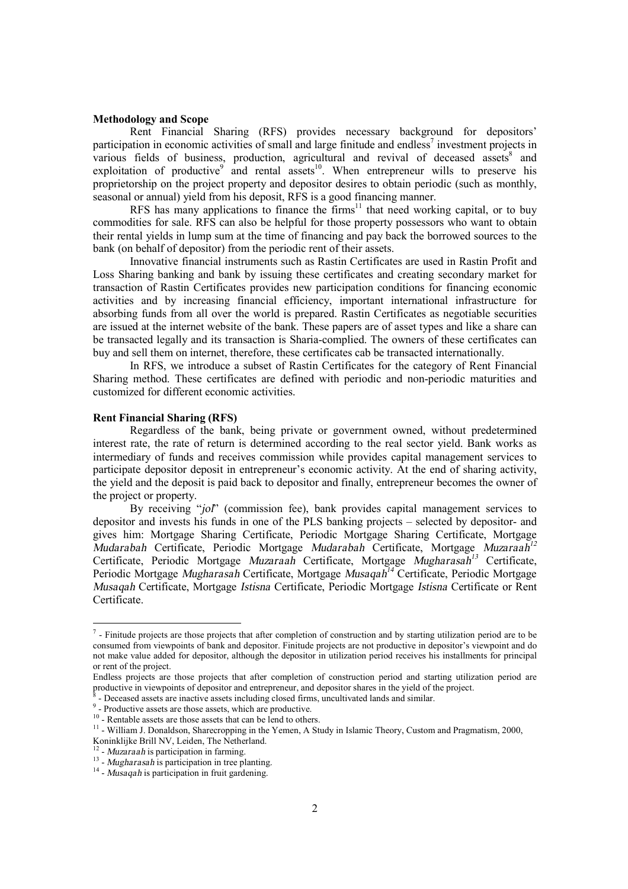## **Methodology and Scope**

Rent Financial Sharing (RFS) provides necessary background for depositors' participation in economic activities of small and large finitude and endless<sup>7</sup> investment projects in various fields of business, production, agricultural and revival of deceased assets $8$  and exploitation of productive and rental assets<sup>10</sup>. When entrepreneur wills to preserve his proprietorship on the project property and depositor desires to obtain periodic (such as monthly, seasonal or annual) yield from his deposit, RFS is a good financing manner.

RFS has many applications to finance the firms<sup>11</sup> that need working capital, or to buy commodities for sale. RFS can also be helpful for those property possessors who want to obtain their rental yields in lump sum at the time of financing and pay back the borrowed sources to the bank (on behalf of depositor) from the periodic rent of their assets.

Innovative financial instruments such as Rastin Certificates are used in Rastin Profit and Loss Sharing banking and bank by issuing these certificates and creating secondary market for transaction of Rastin Certificates provides new participation conditions for financing economic activities and by increasing financial efficiency, important international infrastructure for absorbing funds from all over the world is prepared. Rastin Certificates as negotiable securities are issued at the internet website of the bank. These papers are of asset types and like a share can be transacted legally and its transaction is Sharia-complied. The owners of these certificates can buy and sell them on internet, therefore, these certificates cab be transacted internationally.

In RFS, we introduce a subset of Rastin Certificates for the category of Rent Financial Sharing method. These certificates are defined with periodic and non-periodic maturities and customized for different economic activities.

#### **Rent Financial Sharing (RFS)**

Regardless of the bank, being private or government owned, without predetermined interest rate, the rate of return is determined according to the real sector yield. Bank works as intermediary of funds and receives commission while provides capital management services to participate depositor deposit in entrepreneur's economic activity. At the end of sharing activity, the yield and the deposit is paid back to depositor and finally, entrepreneur becomes the owner of the project or property.

By receiving "*jol*" (commission fee), bank provides capital management services to depositor and invests his funds in one of the PLS banking projects – selected by depositor- and gives him: Mortgage Sharing Certificate, Periodic Mortgage Sharing Certificate, Mortgage *Mudarabah* Certificate, Periodic Mortgage *Mudarabah* Certificate, Mortgage *Muzaraah 12* Certificate, Periodic Mortgage *Muzaraah* Certificate, Mortgage *Mugharasah <sup>13</sup>* Certificate, Periodic Mortgage *Mugharasah* Certificate, Mortgage *Musaqah <sup>14</sup>* Certificate, Periodic Mortgage *Musaqah* Certificate, Mortgage *Istisna* Certificate, Periodic Mortgage *Istisna* Certificate or Rent Certificate.

-

 $<sup>7</sup>$  - Finitude projects are those projects that after completion of construction and by starting utilization period are to be</sup> consumed from viewpoints of bank and depositor. Finitude projects are not productive in depositor's viewpoint and do not make value added for depositor, although the depositor in utilization period receives his installments for principal or rent of the project.

Endless projects are those projects that after completion of construction period and starting utilization period are productive in viewpoints of depositor and entrepreneur, and depositor shares in the yield of the project.

 <sup>-</sup> Deceased assets are inactive assets including closed firms, uncultivated lands and similar.

<sup>&</sup>lt;sup>9</sup> - Productive assets are those assets, which are productive.

<sup>&</sup>lt;sup>10</sup> - Rentable assets are those assets that can be lend to others.

<sup>&</sup>lt;sup>11</sup> - William J. Donaldson, Sharecropping in the Yemen, A Study in Islamic Theory, Custom and Pragmatism, 2000,

Koninklijke Brill NV, Leiden, The Netherland. 12 - *Muzaraah* is participation in farming.

<sup>13</sup> - *Mugharasah* is participation in tree planting.

<sup>&</sup>lt;sup>14</sup> - *Musaqah* is participation in fruit gardening.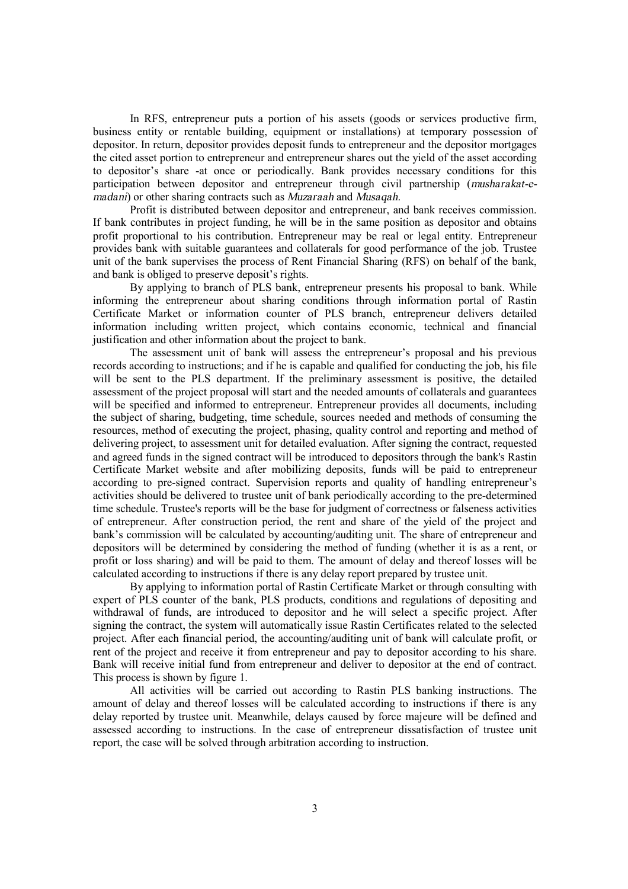In RFS, entrepreneur puts a portion of his assets (goods or services productive firm, business entity or rentable building, equipment or installations) at temporary possession of depositor. In return, depositor provides deposit funds to entrepreneur and the depositor mortgages the cited asset portion to entrepreneur and entrepreneur shares out the yield of the asset according to depositor's share -at once or periodically. Bank provides necessary conditions for this participation between depositor and entrepreneur through civil partnership (*musharakat-emadani*) or other sharing contracts such as *Muzaraah* and *Musaqah.*

Profit is distributed between depositor and entrepreneur, and bank receives commission. If bank contributes in project funding, he will be in the same position as depositor and obtains profit proportional to his contribution. Entrepreneur may be real or legal entity. Entrepreneur provides bank with suitable guarantees and collaterals for good performance of the job. Trustee unit of the bank supervises the process of Rent Financial Sharing (RFS) on behalf of the bank, and bank is obliged to preserve deposit's rights.

By applying to branch of PLS bank, entrepreneur presents his proposal to bank. While informing the entrepreneur about sharing conditions through information portal of Rastin Certificate Market or information counter of PLS branch, entrepreneur delivers detailed information including written project, which contains economic, technical and financial justification and other information about the project to bank.

The assessment unit of bank will assess the entrepreneur's proposal and his previous records according to instructions; and if he is capable and qualified for conducting the job, his file will be sent to the PLS department. If the preliminary assessment is positive, the detailed assessment of the project proposal will start and the needed amounts of collaterals and guarantees will be specified and informed to entrepreneur. Entrepreneur provides all documents, including the subject of sharing, budgeting, time schedule, sources needed and methods of consuming the resources, method of executing the project, phasing, quality control and reporting and method of delivering project, to assessment unit for detailed evaluation. After signing the contract, requested and agreed funds in the signed contract will be introduced to depositors through the bank's Rastin Certificate Market website and after mobilizing deposits, funds will be paid to entrepreneur according to pre-signed contract. Supervision reports and quality of handling entrepreneur's activities should be delivered to trustee unit of bank periodically according to the pre-determined time schedule. Trustee's reports will be the base for judgment of correctness or falseness activities of entrepreneur. After construction period, the rent and share of the yield of the project and bank's commission will be calculated by accounting/auditing unit. The share of entrepreneur and depositors will be determined by considering the method of funding (whether it is as a rent, or profit or loss sharing) and will be paid to them. The amount of delay and thereof losses will be calculated according to instructions if there is any delay report prepared by trustee unit.

By applying to information portal of Rastin Certificate Market or through consulting with expert of PLS counter of the bank, PLS products, conditions and regulations of depositing and withdrawal of funds, are introduced to depositor and he will select a specific project. After signing the contract, the system will automatically issue Rastin Certificates related to the selected project. After each financial period, the accounting/auditing unit of bank will calculate profit, or rent of the project and receive it from entrepreneur and pay to depositor according to his share. Bank will receive initial fund from entrepreneur and deliver to depositor at the end of contract. This process is shown by figure 1.

All activities will be carried out according to Rastin PLS banking instructions. The amount of delay and thereof losses will be calculated according to instructions if there is any delay reported by trustee unit. Meanwhile, delays caused by force majeure will be defined and assessed according to instructions. In the case of entrepreneur dissatisfaction of trustee unit report, the case will be solved through arbitration according to instruction.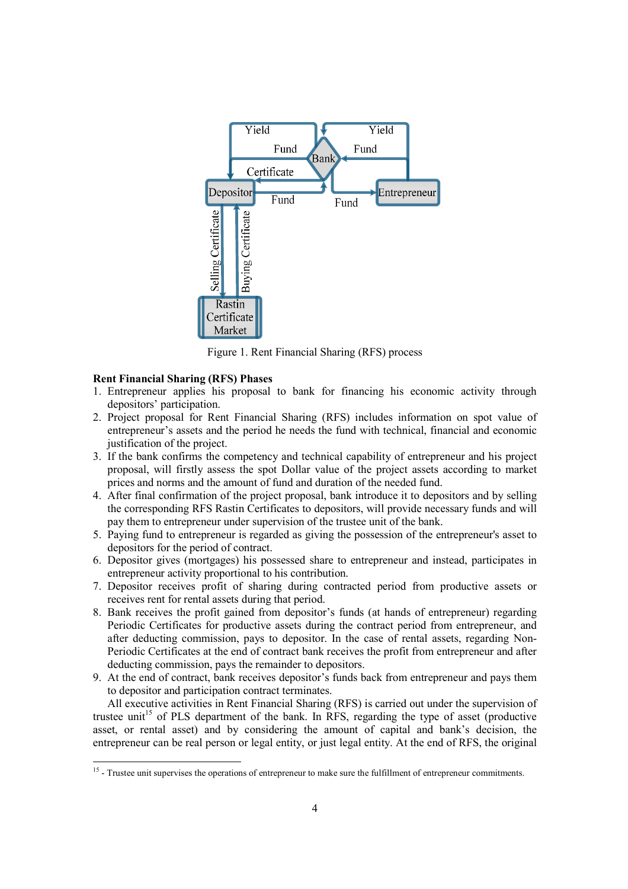

Figure 1. Rent Financial Sharing (RFS) process

## **Rent Financial Sharing (RFS) Phases**

- 1. Entrepreneur applies his proposal to bank for financing his economic activity through depositors' participation.
- 2. Project proposal for Rent Financial Sharing (RFS) includes information on spot value of entrepreneur's assets and the period he needs the fund with technical, financial and economic justification of the project.
- 3. If the bank confirms the competency and technical capability of entrepreneur and his project proposal, will firstly assess the spot Dollar value of the project assets according to market prices and norms and the amount of fund and duration of the needed fund.
- 4. After final confirmation of the project proposal, bank introduce it to depositors and by selling the corresponding RFS Rastin Certificates to depositors, will provide necessary funds and will pay them to entrepreneur under supervision of the trustee unit of the bank.
- 5. Paying fund to entrepreneur is regarded as giving the possession of the entrepreneur's asset to depositors for the period of contract.
- 6. Depositor gives (mortgages) his possessed share to entrepreneur and instead, participates in entrepreneur activity proportional to his contribution.
- 7. Depositor receives profit of sharing during contracted period from productive assets or receives rent for rental assets during that period.
- 8. Bank receives the profit gained from depositor's funds (at hands of entrepreneur) regarding Periodic Certificates for productive assets during the contract period from entrepreneur, and after deducting commission, pays to depositor. In the case of rental assets, regarding Non-Periodic Certificates at the end of contract bank receives the profit from entrepreneur and after deducting commission, pays the remainder to depositors.
- 9. At the end of contract, bank receives depositor's funds back from entrepreneur and pays them to depositor and participation contract terminates.

All executive activities in Rent Financial Sharing (RFS) is carried out under the supervision of trustee unit<sup>15</sup> of PLS department of the bank. In RFS, regarding the type of asset (productive asset, or rental asset) and by considering the amount of capital and bank's decision, the entrepreneur can be real person or legal entity, or just legal entity. At the end of RFS, the original

<sup>&</sup>lt;sup>15</sup> - Trustee unit supervises the operations of entrepreneur to make sure the fulfillment of entrepreneur commitments.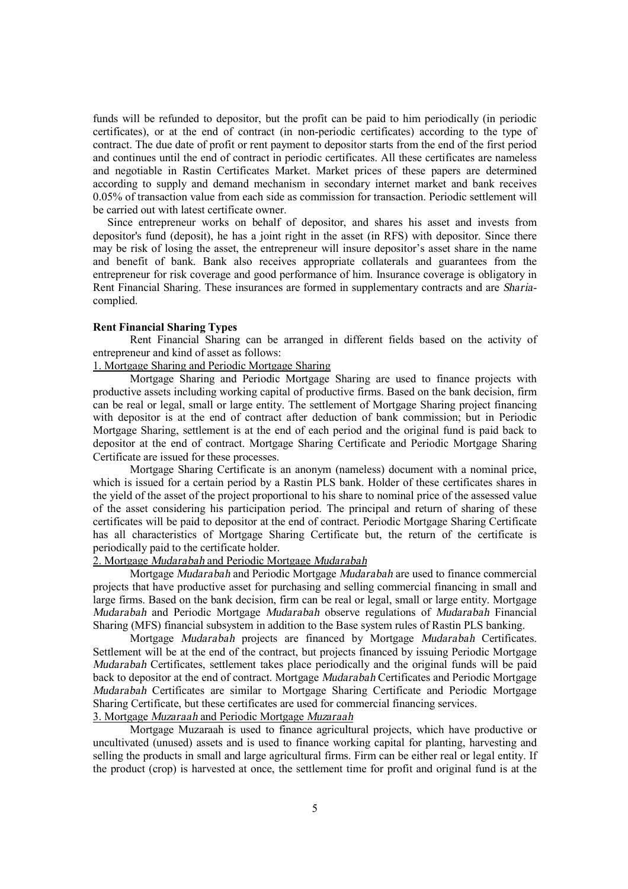funds will be refunded to depositor, but the profit can be paid to him periodically (in periodic certificates), or at the end of contract (in non-periodic certificates) according to the type of contract. The due date of profit or rent payment to depositor starts from the end of the first period and continues until the end of contract in periodic certificates. All these certificates are nameless and negotiable in Rastin Certificates Market. Market prices of these papers are determined according to supply and demand mechanism in secondary internet market and bank receives 0.05% of transaction value from each side as commission for transaction. Periodic settlement will be carried out with latest certificate owner.

Since entrepreneur works on behalf of depositor, and shares his asset and invests from depositor's fund (deposit), he has a joint right in the asset (in RFS) with depositor. Since there may be risk of losing the asset, the entrepreneur will insure depositor's asset share in the name and benefit of bank. Bank also receives appropriate collaterals and guarantees from the entrepreneur for risk coverage and good performance of him. Insurance coverage is obligatory in Rent Financial Sharing. These insurances are formed in supplementary contracts and are *Sharia*complied.

## **Rent Financial Sharing Types**

Rent Financial Sharing can be arranged in different fields based on the activity of entrepreneur and kind of asset as follows:

1. Mortgage Sharing and Periodic Mortgage Sharing

Mortgage Sharing and Periodic Mortgage Sharing are used to finance projects with productive assets including working capital of productive firms. Based on the bank decision, firm can be real or legal, small or large entity. The settlement of Mortgage Sharing project financing with depositor is at the end of contract after deduction of bank commission; but in Periodic Mortgage Sharing, settlement is at the end of each period and the original fund is paid back to depositor at the end of contract. Mortgage Sharing Certificate and Periodic Mortgage Sharing Certificate are issued for these processes.

Mortgage Sharing Certificate is an anonym (nameless) document with a nominal price, which is issued for a certain period by a Rastin PLS bank. Holder of these certificates shares in the yield of the asset of the project proportional to his share to nominal price of the assessed value of the asset considering his participation period. The principal and return of sharing of these certificates will be paid to depositor at the end of contract. Periodic Mortgage Sharing Certificate has all characteristics of Mortgage Sharing Certificate but, the return of the certificate is periodically paid to the certificate holder.

## 2. Mortgage *Mudarabah* and Periodic Mortgage *Mudarabah*

Mortgage *Mudarabah* and Periodic Mortgage *Mudarabah* are used to finance commercial projects that have productive asset for purchasing and selling commercial financing in small and large firms. Based on the bank decision, firm can be real or legal, small or large entity. Mortgage *Mudarabah* and Periodic Mortgage *Mudarabah* observe regulations of *Mudarabah* Financial Sharing (MFS) financial subsystem in addition to the Base system rules of Rastin PLS banking.

Mortgage *Mudarabah* projects are financed by Mortgage *Mudarabah* Certificates. Settlement will be at the end of the contract, but projects financed by issuing Periodic Mortgage *Mudarabah* Certificates, settlement takes place periodically and the original funds will be paid back to depositor at the end of contract. Mortgage *Mudarabah* Certificates and Periodic Mortgage *Mudarabah* Certificates are similar to Mortgage Sharing Certificate and Periodic Mortgage Sharing Certificate, but these certificates are used for commercial financing services. 3. Mortgage *Muzaraah* and Periodic Mortgage *Muzaraah*

Mortgage Muzaraah is used to finance agricultural projects, which have productive or uncultivated (unused) assets and is used to finance working capital for planting, harvesting and selling the products in small and large agricultural firms. Firm can be either real or legal entity. If the product (crop) is harvested at once, the settlement time for profit and original fund is at the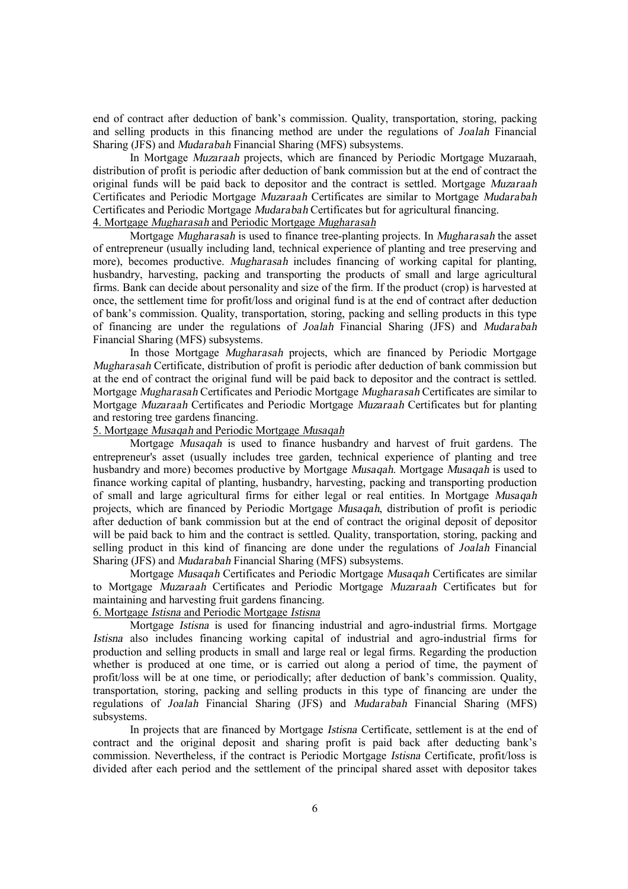end of contract after deduction of bank's commission. Quality, transportation, storing, packing and selling products in this financing method are under the regulations of *Joalah* Financial Sharing (JFS) and *Mudarabah* Financial Sharing (MFS) subsystems.

In Mortgage *Muzaraah* projects, which are financed by Periodic Mortgage Muzaraah, distribution of profit is periodic after deduction of bank commission but at the end of contract the original funds will be paid back to depositor and the contract is settled. Mortgage *Muzaraah* Certificates and Periodic Mortgage *Muzaraah* Certificates are similar to Mortgage *Mudarabah* Certificates and Periodic Mortgage *Mudarabah* Certificates but for agricultural financing. 4. Mortgage *Mugharasah* and Periodic Mortgage *Mugharasah*

Mortgage *Mugharasah* is used to finance tree-planting projects. In *Mugharasah* the asset of entrepreneur (usually including land, technical experience of planting and tree preserving and more), becomes productive. *Mugharasah* includes financing of working capital for planting, husbandry, harvesting, packing and transporting the products of small and large agricultural firms. Bank can decide about personality and size of the firm. If the product (crop) is harvested at once, the settlement time for profit/loss and original fund is at the end of contract after deduction of bank's commission. Quality, transportation, storing, packing and selling products in this type of financing are under the regulations of *Joalah* Financial Sharing (JFS) and *Mudarabah* Financial Sharing (MFS) subsystems.

In those Mortgage *Mugharasah* projects, which are financed by Periodic Mortgage *Mugharasah* Certificate, distribution of profit is periodic after deduction of bank commission but at the end of contract the original fund will be paid back to depositor and the contract is settled. Mortgage *Mugharasah* Certificates and Periodic Mortgage *Mugharasah* Certificates are similar to Mortgage *Muzaraah* Certificates and Periodic Mortgage *Muzaraah* Certificates but for planting and restoring tree gardens financing.

5. Mortgage *Musaqah* and Periodic Mortgage *Musaqah*

Mortgage *Musaqah* is used to finance husbandry and harvest of fruit gardens. The entrepreneur's asset (usually includes tree garden, technical experience of planting and tree husbandry and more) becomes productive by Mortgage *Musaqah*. Mortgage *Musaqah* is used to finance working capital of planting, husbandry, harvesting, packing and transporting production of small and large agricultural firms for either legal or real entities. In Mortgage *Musaqah* projects, which are financed by Periodic Mortgage *Musaqah*, distribution of profit is periodic after deduction of bank commission but at the end of contract the original deposit of depositor will be paid back to him and the contract is settled. Quality, transportation, storing, packing and selling product in this kind of financing are done under the regulations of *Joalah* Financial Sharing (JFS) and *Mudarabah* Financial Sharing (MFS) subsystems.

Mortgage *Musaqah* Certificates and Periodic Mortgage *Musaqah* Certificates are similar to Mortgage *Muzaraah* Certificates and Periodic Mortgage *Muzaraah* Certificates but for maintaining and harvesting fruit gardens financing.

## 6. Mortgage *Istisna* and Periodic Mortgage *Istisna*

Mortgage *Istisna* is used for financing industrial and agro-industrial firms. Mortgage *Istisna* also includes financing working capital of industrial and agro-industrial firms for production and selling products in small and large real or legal firms. Regarding the production whether is produced at one time, or is carried out along a period of time, the payment of profit/loss will be at one time, or periodically; after deduction of bank's commission. Quality, transportation, storing, packing and selling products in this type of financing are under the regulations of *Joalah* Financial Sharing (JFS) and *Mudarabah* Financial Sharing (MFS) subsystems.

In projects that are financed by Mortgage *Istisna* Certificate, settlement is at the end of contract and the original deposit and sharing profit is paid back after deducting bank's commission. Nevertheless, if the contract is Periodic Mortgage *Istisna* Certificate, profit/loss is divided after each period and the settlement of the principal shared asset with depositor takes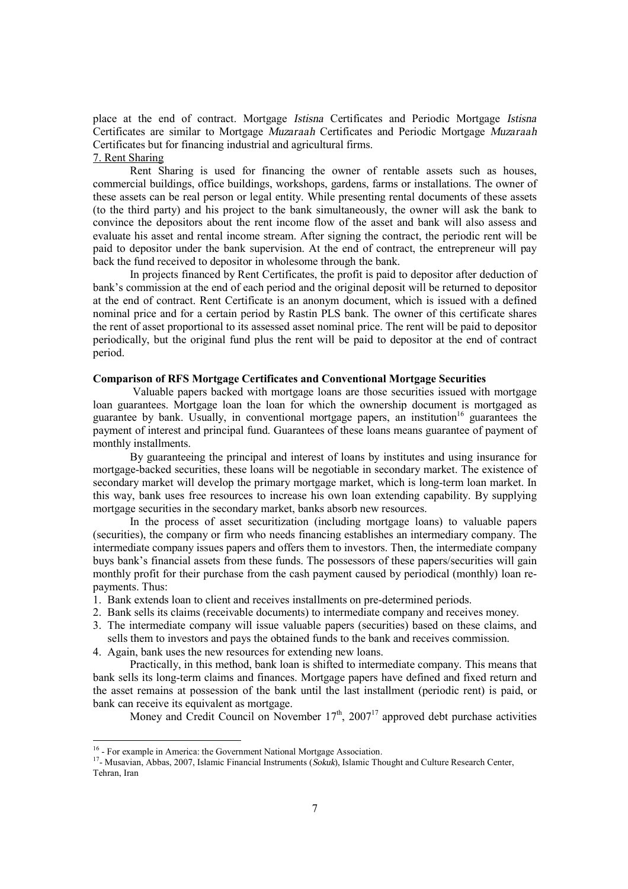place at the end of contract. Mortgage *Istisna* Certificates and Periodic Mortgage *Istisna* Certificates are similar to Mortgage *Muzaraah* Certificates and Periodic Mortgage *Muzaraah* Certificates but for financing industrial and agricultural firms.

## 7. Rent Sharing

Rent Sharing is used for financing the owner of rentable assets such as houses, commercial buildings, office buildings, workshops, gardens, farms or installations. The owner of these assets can be real person or legal entity. While presenting rental documents of these assets (to the third party) and his project to the bank simultaneously, the owner will ask the bank to convince the depositors about the rent income flow of the asset and bank will also assess and evaluate his asset and rental income stream. After signing the contract, the periodic rent will be paid to depositor under the bank supervision. At the end of contract, the entrepreneur will pay back the fund received to depositor in wholesome through the bank.

In projects financed by Rent Certificates, the profit is paid to depositor after deduction of bank's commission at the end of each period and the original deposit will be returned to depositor at the end of contract. Rent Certificate is an anonym document, which is issued with a defined nominal price and for a certain period by Rastin PLS bank. The owner of this certificate shares the rent of asset proportional to its assessed asset nominal price. The rent will be paid to depositor periodically, but the original fund plus the rent will be paid to depositor at the end of contract period.

## **Comparison of RFS Mortgage Certificates and Conventional Mortgage Securities**

Valuable papers backed with mortgage loans are those securities issued with mortgage loan guarantees. Mortgage loan the loan for which the ownership document is mortgaged as guarantee by bank. Usually, in conventional mortgage papers, an institution<sup>16</sup> guarantees the payment of interest and principal fund. Guarantees of these loans means guarantee of payment of monthly installments.

By guaranteeing the principal and interest of loans by institutes and using insurance for mortgage-backed securities, these loans will be negotiable in secondary market. The existence of secondary market will develop the primary mortgage market, which is long-term loan market. In this way, bank uses free resources to increase his own loan extending capability. By supplying mortgage securities in the secondary market, banks absorb new resources.

In the process of asset securitization (including mortgage loans) to valuable papers (securities), the company or firm who needs financing establishes an intermediary company. The intermediate company issues papers and offers them to investors. Then, the intermediate company buys bank's financial assets from these funds. The possessors of these papers/securities will gain monthly profit for their purchase from the cash payment caused by periodical (monthly) loan repayments. Thus:

- 1. Bank extends loan to client and receives installments on pre-determined periods.
- 2. Bank sells its claims (receivable documents) to intermediate company and receives money.
- 3. The intermediate company will issue valuable papers (securities) based on these claims, and sells them to investors and pays the obtained funds to the bank and receives commission.
- 4. Again, bank uses the new resources for extending new loans.

Practically, in this method, bank loan is shifted to intermediate company. This means that bank sells its long-term claims and finances. Mortgage papers have defined and fixed return and the asset remains at possession of the bank until the last installment (periodic rent) is paid, or bank can receive its equivalent as mortgage.

Money and Credit Council on November  $17<sup>th</sup>$ ,  $2007<sup>17</sup>$  approved debt purchase activities

<sup>17</sup>- Musavian, Abbas, 2007, Islamic Financial Instruments (*Sokuk*), Islamic Thought and Culture Research Center, Tehran, Iran

 16 - For example in America: the Government National Mortgage Association.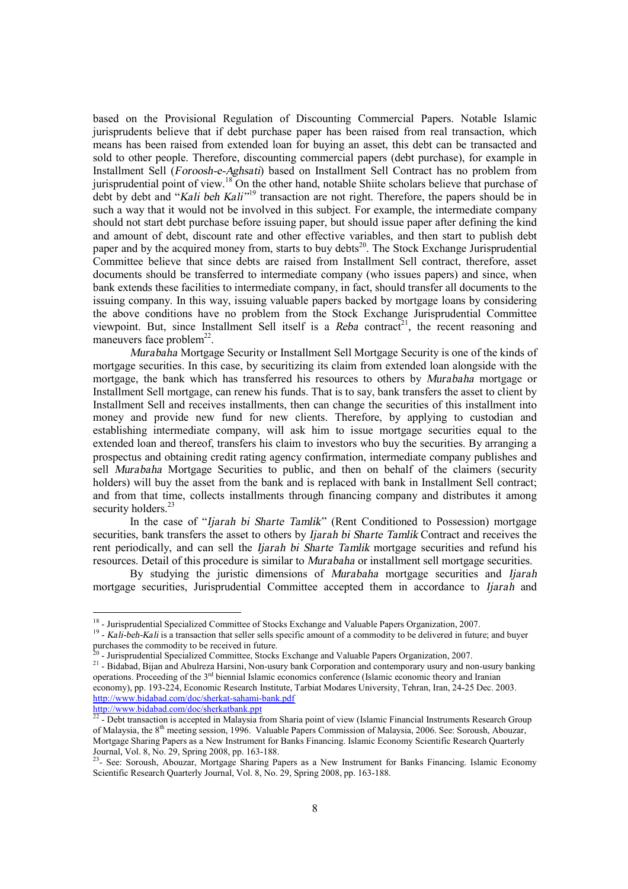based on the Provisional Regulation of Discounting Commercial Papers. Notable Islamic jurisprudents believe that if debt purchase paper has been raised from real transaction, which means has been raised from extended loan for buying an asset, this debt can be transacted and sold to other people. Therefore, discounting commercial papers (debt purchase), for example in Installment Sell (*Foroosh-e-Aghsati*) based on Installment Sell Contract has no problem from jurisprudential point of view.<sup>18</sup> On the other hand, notable Shiite scholars believe that purchase of debt by debt and "*Kali beh Kali"* <sup>19</sup> transaction are not right. Therefore, the papers should be in such a way that it would not be involved in this subject. For example, the intermediate company should not start debt purchase before issuing paper, but should issue paper after defining the kind and amount of debt, discount rate and other effective variables, and then start to publish debt paper and by the acquired money from, starts to buy debts<sup>20</sup>. The Stock Exchange Jurisprudential Committee believe that since debts are raised from Installment Sell contract, therefore, asset documents should be transferred to intermediate company (who issues papers) and since, when bank extends these facilities to intermediate company, in fact, should transfer all documents to the issuing company. In this way, issuing valuable papers backed by mortgage loans by considering the above conditions have no problem from the Stock Exchange Jurisprudential Committee viewpoint. But, since Installment Sell itself is a *Reba* contract<sup>21</sup>, the recent reasoning and  $m$ aneuvers face problem<sup>22</sup>.

*Murabaha* Mortgage Security or Installment Sell Mortgage Security is one of the kinds of mortgage securities. In this case, by securitizing its claim from extended loan alongside with the mortgage, the bank which has transferred his resources to others by *Murabaha* mortgage or Installment Sell mortgage, can renew his funds. That is to say, bank transfers the asset to client by Installment Sell and receives installments, then can change the securities of this installment into money and provide new fund for new clients. Therefore, by applying to custodian and establishing intermediate company, will ask him to issue mortgage securities equal to the extended loan and thereof, transfers his claim to investors who buy the securities. By arranging a prospectus and obtaining credit rating agency confirmation, intermediate company publishes and sell *Murabaha* Mortgage Securities to public, and then on behalf of the claimers (security holders) will buy the asset from the bank and is replaced with bank in Installment Sell contract; and from that time, collects installments through financing company and distributes it among security holders.<sup>23</sup>

In the case of "*Ijarah bi Sharte Tamlik"* (Rent Conditioned to Possession) mortgage securities, bank transfers the asset to others by *Ijarah bi Sharte Tamlik* Contract and receives the rent periodically, and can sell the *Ijarah bi Sharte Tamlik* mortgage securities and refund his resources. Detail of this procedure is similar to *Murabaha* or installment sell mortgage securities.

By studying the juristic dimensions of *Murabaha* mortgage securities and *Ijarah* mortgage securities, Jurisprudential Committee accepted them in accordance to *Ijarah* and

 18 - Jurisprudential Specialized Committee of Stocks Exchange and Valuable Papers Organization, 2007.

<sup>&</sup>lt;sup>19</sup> - Kali-beh-Kali is a transaction that seller sells specific amount of a commodity to be delivered in future; and buyer purchases the commodity to be received in future.<br><sup>20</sup> Iurianudantial Specialized Committee, Steeks

<sup>-</sup> Jurisprudential Specialized Committee, Stocks Exchange and Valuable Papers Organization, 2007.

<sup>&</sup>lt;sup>21</sup> - Bidabad, Bijan and Abulreza Harsini, Non-usury bank Corporation and contemporary usury and non-usury banking operations. Proceeding of the 3rd biennial Islamic economics conference (Islamic economic theory and Iranian economy), pp. 193-224, Economic Research Institute, Tarbiat Modares University, Tehran, Iran, 24-25 Dec. 2003. <http://www.bidabad.com/doc/sherkat-sahami-bank.pdf>

<http://www.bidabad.com/doc/sherkatbank.ppt><br><sup>22</sup> - Debt transaction is accepted in Malaysia from Sharia point of view (Islamic Financial Instruments Research Group of Malaysia, the 8th meeting session, 1996. Valuable Papers Commission of Malaysia, 2006. See: Soroush, Abouzar, Mortgage Sharing Papers as a New Instrument for Banks Financing. Islamic Economy Scientific Research Quarterly Journal, Vol. 8, No. 29, Spring 2008, pp. 163-188.

<sup>&</sup>lt;sup>23</sup>- See: Soroush, Abouzar, Mortgage Sharing Papers as a New Instrument for Banks Financing. Islamic Economy Scientific Research Quarterly Journal, Vol. 8, No. 29, Spring 2008, pp. 163-188.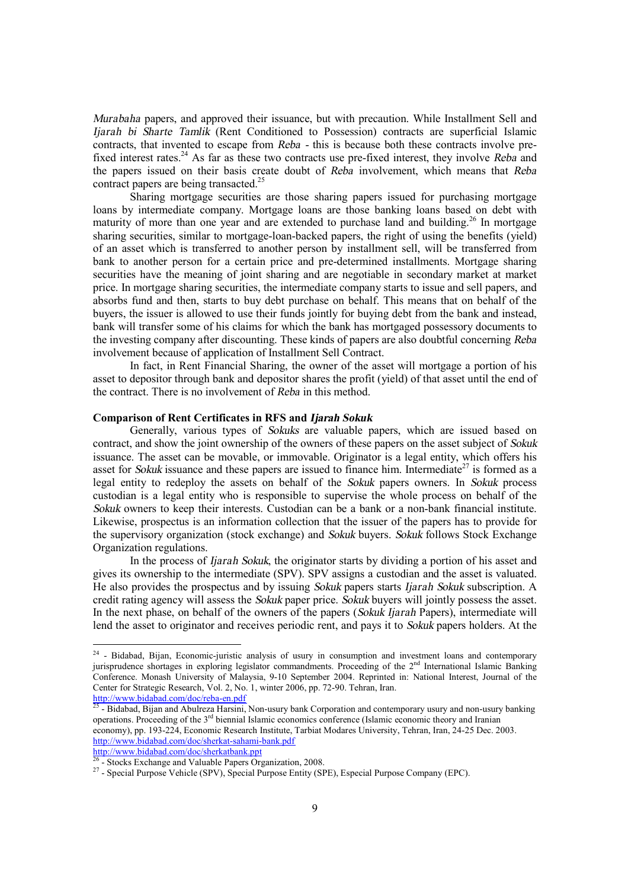*Murabaha* papers, and approved their issuance, but with precaution. While Installment Sell and *Ijarah bi Sharte Tamlik* (Rent Conditioned to Possession) contracts are superficial Islamic contracts, that invented to escape from *Reba -* this is because both these contracts involve prefixed interest rates.<sup>24</sup> As far as these two contracts use pre-fixed interest, they involve *Reba* and the papers issued on their basis create doubt of *Reba* involvement, which means that *Reba* contract papers are being transacted.<sup>25</sup>

Sharing mortgage securities are those sharing papers issued for purchasing mortgage loans by intermediate company. Mortgage loans are those banking loans based on debt with maturity of more than one year and are extended to purchase land and building.<sup>26</sup> In mortgage sharing securities, similar to mortgage-loan-backed papers, the right of using the benefits (yield) of an asset which is transferred to another person by installment sell, will be transferred from bank to another person for a certain price and pre-determined installments. Mortgage sharing securities have the meaning of joint sharing and are negotiable in secondary market at market price. In mortgage sharing securities, the intermediate company starts to issue and sell papers, and absorbs fund and then, starts to buy debt purchase on behalf. This means that on behalf of the buyers, the issuer is allowed to use their funds jointly for buying debt from the bank and instead, bank will transfer some of his claims for which the bank has mortgaged possessory documents to the investing company after discounting. These kinds of papers are also doubtful concerning *Reba* involvement because of application of Installment Sell Contract.

In fact, in Rent Financial Sharing, the owner of the asset will mortgage a portion of his asset to depositor through bank and depositor shares the profit (yield) of that asset until the end of the contract. There is no involvement of *Reba* in this method.

### **Comparison of Rent Certificates in RFS and** *Ijarah Sokuk*

Generally, various types of *Sokuks* are valuable papers, which are issued based on contract, and show the joint ownership of the owners of these papers on the asset subject of *Sokuk* issuance. The asset can be movable, or immovable. Originator is a legal entity, which offers his asset for *Sokuk* issuance and these papers are issued to finance him. Intermediate<sup>27</sup> is formed as a legal entity to redeploy the assets on behalf of the *Sokuk* papers owners. In *Sokuk* process custodian is a legal entity who is responsible to supervise the whole process on behalf of the *Sokuk* owners to keep their interests. Custodian can be a bank or a non-bank financial institute. Likewise, prospectus is an information collection that the issuer of the papers has to provide for the supervisory organization (stock exchange) and *Sokuk* buyers. *Sokuk* follows Stock Exchange Organization regulations.

In the process of *Ijarah Sokuk*, the originator starts by dividing a portion of his asset and gives its ownership to the intermediate (SPV). SPV assigns a custodian and the asset is valuated. He also provides the prospectus and by issuing *Sokuk* papers starts *Ijarah Sokuk* subscription. A credit rating agency will assess the *Sokuk* paper price. *Sokuk* buyers will jointly possess the asset. In the next phase, on behalf of the owners of the papers (*Sokuk Ijarah* Papers), intermediate will lend the asset to originator and receives periodic rent, and pays it to *Sokuk* papers holders. At the

<http://www.bidabad.com/doc/reba-en.pdf><br><sup>25</sup> - Bidabad, Bijan and Abulreza Harsini, Non-usury bank Corporation and contemporary usury and non-usury banking operations. Proceeding of the  $3<sup>rd</sup>$  biennial Islamic economics conference (Islamic economic theory and Iranian economy), pp. 193-224, Economic Research Institute, Tarbiat Modares University, Tehran, Iran, 24-25 Dec. 2003. <http://www.bidabad.com/doc/sherkat-sahami-bank.pdf>

<http://www.bidabad.com/doc/sherkatbank.ppt><br><sup>26</sup> - Stocks Exchange and Valuable Papers Organization, 2008.

<sup>&</sup>lt;sup>24</sup> - Bidabad, Bijan, Economic-juristic analysis of usury in consumption and investment loans and contemporary jurisprudence shortages in exploring legislator commandments. Proceeding of the  $2<sup>nd</sup>$  International Islamic Banking Conference. Monash University of Malaysia, 9-10 September 2004. Reprinted in: National Interest, Journal of the Center for Strategic Research, Vol. 2, No. 1, winter 2006, pp. 72-90. Tehran, Iran.

<sup>&</sup>lt;sup>27</sup> - Special Purpose Vehicle (SPV), Special Purpose Entity (SPE), Especial Purpose Company (EPC).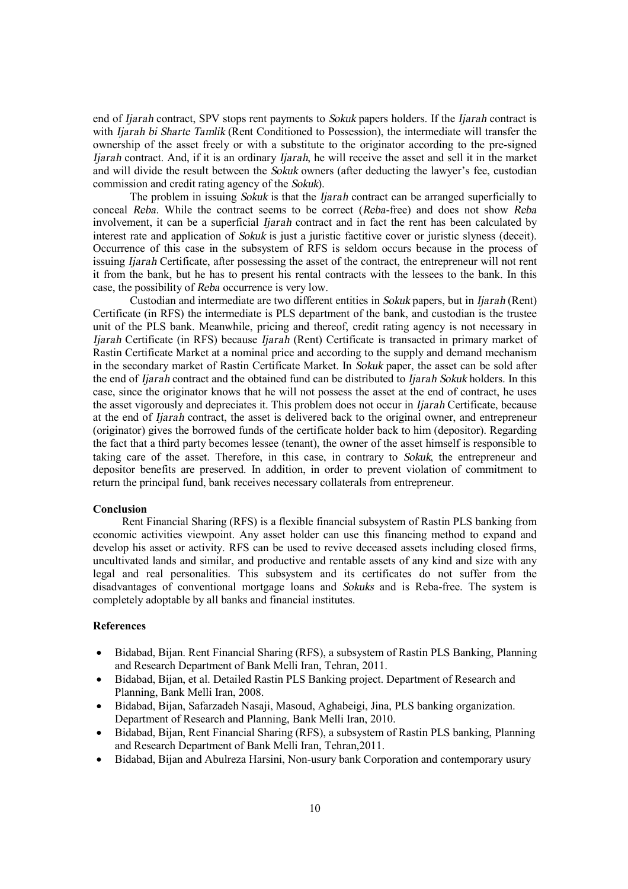end of *Ijarah* contract, SPV stops rent payments to *Sokuk* papers holders. If the *Ijarah* contract is with *Ijarah bi Sharte Tamlik* (Rent Conditioned to Possession), the intermediate will transfer the ownership of the asset freely or with a substitute to the originator according to the pre-signed *Ijarah* contract. And, if it is an ordinary *Ijarah*, he will receive the asset and sell it in the market and will divide the result between the *Sokuk* owners (after deducting the lawyer's fee, custodian commission and credit rating agency of the *Sokuk*).

The problem in issuing *Sokuk* is that the *Ijarah* contract can be arranged superficially to conceal *Reba*. While the contract seems to be correct (*Reba*-free) and does not show *Reba* involvement, it can be a superficial *Ijarah* contract and in fact the rent has been calculated by interest rate and application of *Sokuk* is just a juristic factitive cover or juristic slyness (deceit). Occurrence of this case in the subsystem of RFS is seldom occurs because in the process of issuing *Ijarah* Certificate, after possessing the asset of the contract, the entrepreneur will not rent it from the bank, but he has to present his rental contracts with the lessees to the bank. In this case, the possibility of *Reba* occurrence is very low.

Custodian and intermediate are two different entities in *Sokuk* papers, but in *Ijarah* (Rent) Certificate (in RFS) the intermediate is PLS department of the bank, and custodian is the trustee unit of the PLS bank. Meanwhile, pricing and thereof, credit rating agency is not necessary in *Ijarah* Certificate (in RFS) because *Ijarah* (Rent) Certificate is transacted in primary market of Rastin Certificate Market at a nominal price and according to the supply and demand mechanism in the secondary market of Rastin Certificate Market. In *Sokuk* paper, the asset can be sold after the end of *Ijarah* contract and the obtained fund can be distributed to *Ijarah Sokuk* holders. In this case, since the originator knows that he will not possess the asset at the end of contract, he uses the asset vigorously and depreciates it. This problem does not occur in *Ijarah* Certificate, because at the end of *Ijarah* contract, the asset is delivered back to the original owner, and entrepreneur (originator) gives the borrowed funds of the certificate holder back to him (depositor). Regarding the fact that a third party becomes lessee (tenant), the owner of the asset himself is responsible to taking care of the asset. Therefore, in this case, in contrary to *Sokuk*, the entrepreneur and depositor benefits are preserved. In addition, in order to prevent violation of commitment to return the principal fund, bank receives necessary collaterals from entrepreneur.

#### **Conclusion**

Rent Financial Sharing (RFS) is a flexible financial subsystem of Rastin PLS banking from economic activities viewpoint. Any asset holder can use this financing method to expand and develop his asset or activity. RFS can be used to revive deceased assets including closed firms, uncultivated lands and similar, and productive and rentable assets of any kind and size with any legal and real personalities. This subsystem and its certificates do not suffer from the disadvantages of conventional mortgage loans and *Sokuks* and is Reba-free. The system is completely adoptable by all banks and financial institutes.

## **References**

- · Bidabad, Bijan. Rent Financial Sharing (RFS), a subsystem of Rastin PLS Banking, Planning and Research Department of Bank Melli Iran, Tehran, 2011.
- · Bidabad, Bijan, et al. Detailed Rastin PLS Banking project. Department of Research and Planning, Bank Melli Iran, 2008.
- · Bidabad, Bijan, Safarzadeh Nasaji, Masoud, Aghabeigi, Jina, PLS banking organization. Department of Research and Planning, Bank Melli Iran, 2010.
- · Bidabad, Bijan, Rent Financial Sharing (RFS), a subsystem of Rastin PLS banking, Planning and Research Department of Bank Melli Iran, Tehran,2011.
- · Bidabad, Bijan and Abulreza Harsini, Non-usury bank Corporation and contemporary usury